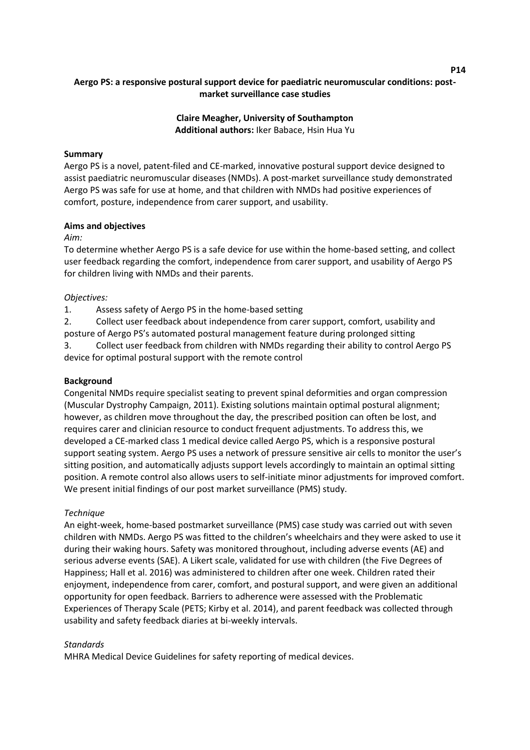# **Aergo PS: a responsive postural support device for paediatric neuromuscular conditions: postmarket surveillance case studies**

**Claire Meagher, University of Southampton Additional authors:** Iker Babace, Hsin Hua Yu

## **Summary**

Aergo PS is a novel, patent-filed and CE-marked, innovative postural support device designed to assist paediatric neuromuscular diseases (NMDs). A post-market surveillance study demonstrated Aergo PS was safe for use at home, and that children with NMDs had positive experiences of comfort, posture, independence from carer support, and usability.

#### **Aims and objectives**

#### *Aim:*

To determine whether Aergo PS is a safe device for use within the home-based setting, and collect user feedback regarding the comfort, independence from carer support, and usability of Aergo PS for children living with NMDs and their parents.

## *Objectives:*

1. Assess safety of Aergo PS in the home-based setting

2. Collect user feedback about independence from carer support, comfort, usability and posture of Aergo PS's automated postural management feature during prolonged sitting

3. Collect user feedback from children with NMDs regarding their ability to control Aergo PS device for optimal postural support with the remote control

#### **Background**

Congenital NMDs require specialist seating to prevent spinal deformities and organ compression (Muscular Dystrophy Campaign, 2011). Existing solutions maintain optimal postural alignment; however, as children move throughout the day, the prescribed position can often be lost, and requires carer and clinician resource to conduct frequent adjustments. To address this, we developed a CE-marked class 1 medical device called Aergo PS, which is a responsive postural support seating system. Aergo PS uses a network of pressure sensitive air cells to monitor the user's sitting position, and automatically adjusts support levels accordingly to maintain an optimal sitting position. A remote control also allows users to self-initiate minor adjustments for improved comfort. We present initial findings of our post market surveillance (PMS) study.

#### *Technique*

An eight-week, home-based postmarket surveillance (PMS) case study was carried out with seven children with NMDs. Aergo PS was fitted to the children's wheelchairs and they were asked to use it during their waking hours. Safety was monitored throughout, including adverse events (AE) and serious adverse events (SAE). A Likert scale, validated for use with children (the Five Degrees of Happiness; Hall et al. 2016) was administered to children after one week. Children rated their enjoyment, independence from carer, comfort, and postural support, and were given an additional opportunity for open feedback. Barriers to adherence were assessed with the Problematic Experiences of Therapy Scale (PETS; Kirby et al. 2014), and parent feedback was collected through usability and safety feedback diaries at bi-weekly intervals.

#### *Standards*

MHRA Medical Device Guidelines for safety reporting of medical devices.

**P14**